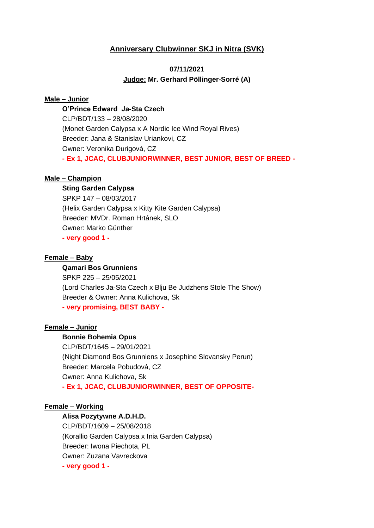# **Anniversary Clubwinner SKJ in Nitra (SVK)**

# **07/11/2021 Judge: Mr. Gerhard Pöllinger-Sorré (A)**

### **Male – Junior**

**O'Prince Edward Ja-Sta Czech** CLP/BDT/133 – 28/08/2020 (Monet Garden Calypsa x A Nordic Ice Wind Royal Rives) Breeder: Jana & Stanislav Uriankovi, CZ Owner: Veronika Durigová, CZ **- Ex 1, JCAC, CLUBJUNIORWINNER, BEST JUNIOR, BEST OF BREED -**

### **Male – Champion**

## **Sting Garden Calypsa**

SPKP 147 – 08/03/2017 (Helix Garden Calypsa x Kitty Kite Garden Calypsa) Breeder: MVDr. Roman Hrtánek, SLO Owner: Marko Günther **- very good 1 -**

#### **Female – Baby**

#### **Qamari Bos Grunniens**

SPKP 225 – 25/05/2021 (Lord Charles Ja-Sta Czech x Blju Be Judzhens Stole The Show) Breeder & Owner: Anna Kulichova, Sk **- very promising, BEST BABY -**

## **Female – Junior**

#### **Bonnie Bohemia Opus**

CLP/BDT/1645 – 29/01/2021 (Night Diamond Bos Grunniens x Josephine Slovansky Perun) Breeder: Marcela Pobudová, CZ Owner: Anna Kulichova, Sk **- Ex 1, JCAC, CLUBJUNIORWINNER, BEST OF OPPOSITE-**

#### **Female – Working**

#### **Alisa Pozytywne A.D.H.D.**

CLP/BDT/1609 – 25/08/2018 (Korallio Garden Calypsa x Inia Garden Calypsa) Breeder: Iwona Piechota, PL Owner: Zuzana Vavreckova **- very good 1 -**